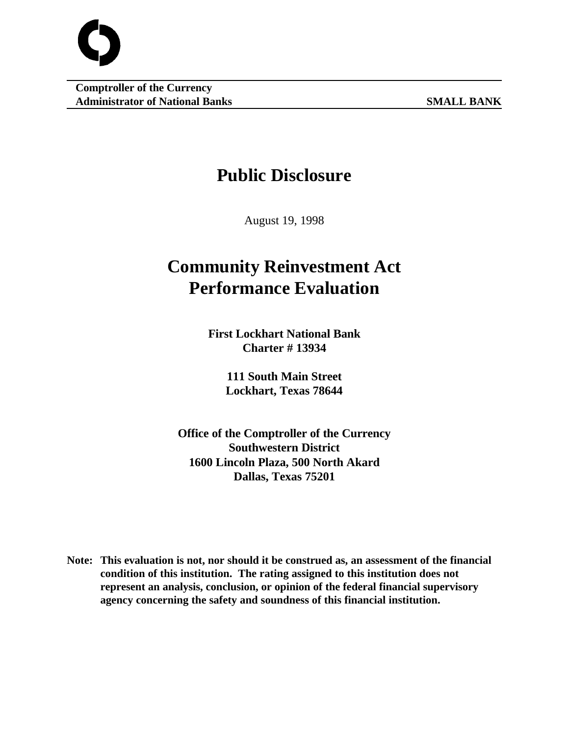

# **Public Disclosure**

August 19, 1998

# **Community Reinvestment Act Performance Evaluation**

**First Lockhart National Bank Charter # 13934**

> **111 South Main Street Lockhart, Texas 78644**

**Office of the Comptroller of the Currency Southwestern District 1600 Lincoln Plaza, 500 North Akard Dallas, Texas 75201**

**Note: This evaluation is not, nor should it be construed as, an assessment of the financial condition of this institution. The rating assigned to this institution does not represent an analysis, conclusion, or opinion of the federal financial supervisory agency concerning the safety and soundness of this financial institution.**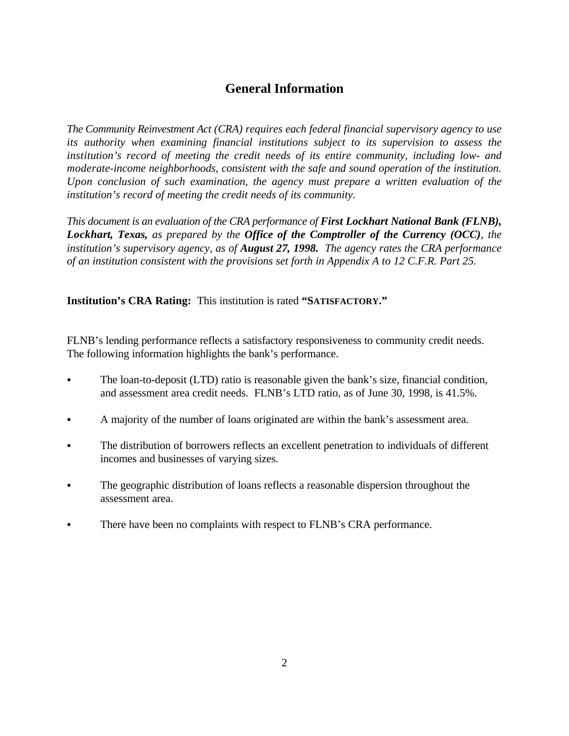# **General Information**

*The Community Reinvestment Act (CRA) requires each federal financial supervisory agency to use its authority when examining financial institutions subject to its supervision to assess the institution's record of meeting the credit needs of its entire community, including low- and moderate-income neighborhoods, consistent with the safe and sound operation of the institution. Upon conclusion of such examination, the agency must prepare a written evaluation of the institution's record of meeting the credit needs of its community.* 

*This document is an evaluation of the CRA performance of First Lockhart National Bank (FLNB), Lockhart, Texas, as prepared by the Office of the Comptroller of the Currency (OCC), the institution's supervisory agency, as of August 27, 1998. The agency rates the CRA performance of an institution consistent with the provisions set forth in Appendix A to 12 C.F.R. Part 25.*

**Institution's CRA Rating:** This institution is rated **"SATISFACTORY."**

FLNB's lending performance reflects a satisfactory responsiveness to community credit needs. The following information highlights the bank's performance.

- The loan-to-deposit (LTD) ratio is reasonable given the bank's size, financial condition, and assessment area credit needs. FLNB's LTD ratio, as of June 30, 1998, is 41.5%.
- C A majority of the number of loans originated are within the bank's assessment area.
- The distribution of borrowers reflects an excellent penetration to individuals of different incomes and businesses of varying sizes.
- The geographic distribution of loans reflects a reasonable dispersion throughout the assessment area.
- There have been no complaints with respect to FLNB's CRA performance.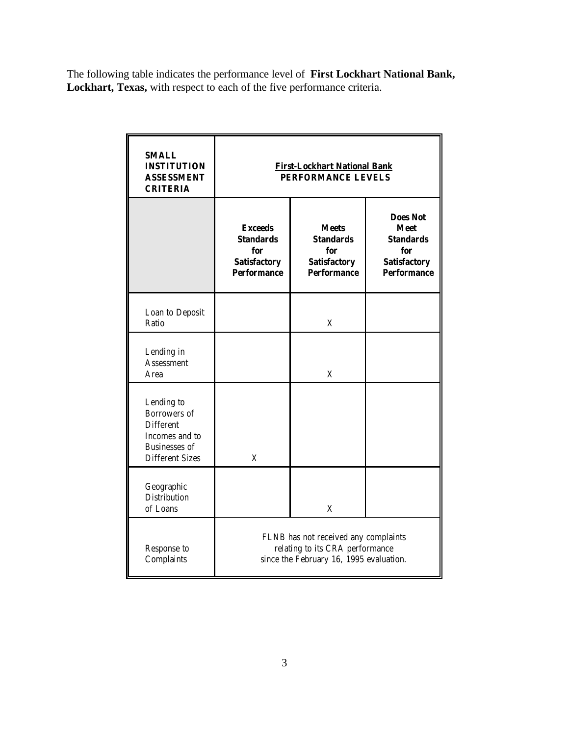The following table indicates the performance level of **First Lockhart National Bank, Lockhart, Texas,** with respect to each of the five performance criteria.

| <b>SMALL</b><br><b>INSTITUTION</b><br><b>ASSESSMENT</b><br><b>CRITERIA</b>                                                | <b>First-Lockhart National Bank</b><br><b>PERFORMANCE LEVELS</b>                                                   |                                                                                                        |  |  |  |  |  |  |
|---------------------------------------------------------------------------------------------------------------------------|--------------------------------------------------------------------------------------------------------------------|--------------------------------------------------------------------------------------------------------|--|--|--|--|--|--|
|                                                                                                                           | <b>Exceeds</b><br><b>Standards</b><br>for<br><b>Satisfactory</b><br><b>Performance</b>                             | <b>Does Not</b><br><b>Meet</b><br><b>Standards</b><br>for<br><b>Satisfactory</b><br><b>Performance</b> |  |  |  |  |  |  |
| Loan to Deposit<br>Ratio                                                                                                  |                                                                                                                    | X                                                                                                      |  |  |  |  |  |  |
| Lending in<br><b>Assessment</b><br>Area                                                                                   |                                                                                                                    | X                                                                                                      |  |  |  |  |  |  |
| Lending to<br><b>Borrowers</b> of<br><b>Different</b><br>Incomes and to<br><b>Businesses of</b><br><b>Different Sizes</b> | X                                                                                                                  |                                                                                                        |  |  |  |  |  |  |
| Geographic<br><b>Distribution</b><br>of Loans                                                                             |                                                                                                                    | X                                                                                                      |  |  |  |  |  |  |
| Response to<br>Complaints                                                                                                 | FLNB has not received any complaints<br>relating to its CRA performance<br>since the February 16, 1995 evaluation. |                                                                                                        |  |  |  |  |  |  |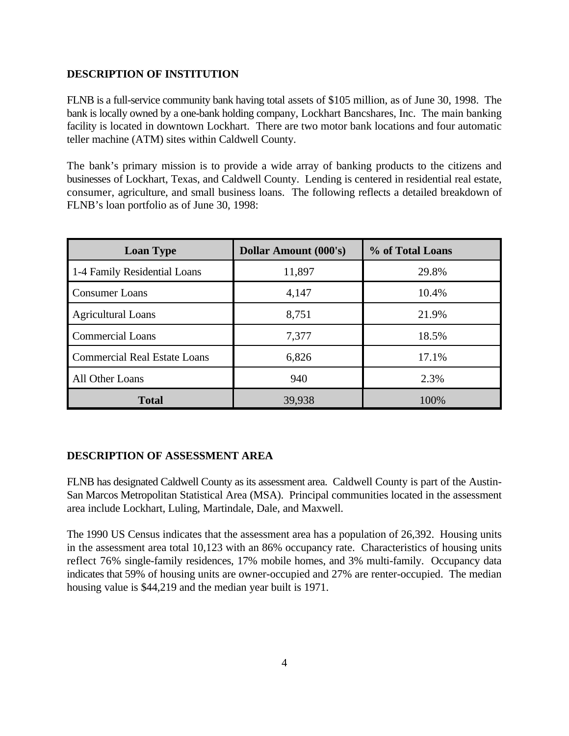# **DESCRIPTION OF INSTITUTION**

FLNB is a full-service community bank having total assets of \$105 million, as of June 30, 1998. The bank is locally owned by a one-bank holding company, Lockhart Bancshares, Inc. The main banking facility is located in downtown Lockhart. There are two motor bank locations and four automatic teller machine (ATM) sites within Caldwell County.

The bank's primary mission is to provide a wide array of banking products to the citizens and businesses of Lockhart, Texas, and Caldwell County. Lending is centered in residential real estate, consumer, agriculture, and small business loans. The following reflects a detailed breakdown of FLNB's loan portfolio as of June 30, 1998:

| <b>Loan Type</b>                    | <b>Dollar Amount (000's)</b> | % of Total Loans |  |  |  |  |
|-------------------------------------|------------------------------|------------------|--|--|--|--|
| 1-4 Family Residential Loans        | 11,897                       | 29.8%            |  |  |  |  |
| <b>Consumer Loans</b>               | 4,147                        | 10.4%            |  |  |  |  |
| <b>Agricultural Loans</b>           | 8,751                        | 21.9%            |  |  |  |  |
| <b>Commercial Loans</b>             | 7,377                        | 18.5%            |  |  |  |  |
| <b>Commercial Real Estate Loans</b> | 6,826                        | 17.1%            |  |  |  |  |
| All Other Loans                     | 940                          | 2.3%             |  |  |  |  |
| <b>Total</b>                        | 39,938                       | 100%             |  |  |  |  |

# **DESCRIPTION OF ASSESSMENT AREA**

FLNB has designated Caldwell County as its assessment area. Caldwell County is part of the Austin-San Marcos Metropolitan Statistical Area (MSA). Principal communities located in the assessment area include Lockhart, Luling, Martindale, Dale, and Maxwell.

The 1990 US Census indicates that the assessment area has a population of 26,392. Housing units in the assessment area total 10,123 with an 86% occupancy rate. Characteristics of housing units reflect 76% single-family residences, 17% mobile homes, and 3% multi-family. Occupancy data indicates that 59% of housing units are owner-occupied and 27% are renter-occupied. The median housing value is \$44,219 and the median year built is 1971.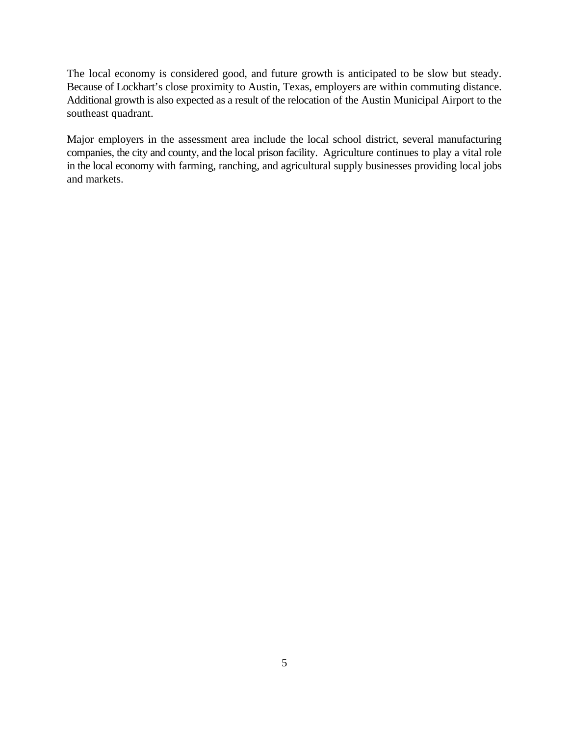The local economy is considered good, and future growth is anticipated to be slow but steady. Because of Lockhart's close proximity to Austin, Texas, employers are within commuting distance. Additional growth is also expected as a result of the relocation of the Austin Municipal Airport to the southeast quadrant.

Major employers in the assessment area include the local school district, several manufacturing companies, the city and county, and the local prison facility. Agriculture continues to play a vital role in the local economy with farming, ranching, and agricultural supply businesses providing local jobs and markets.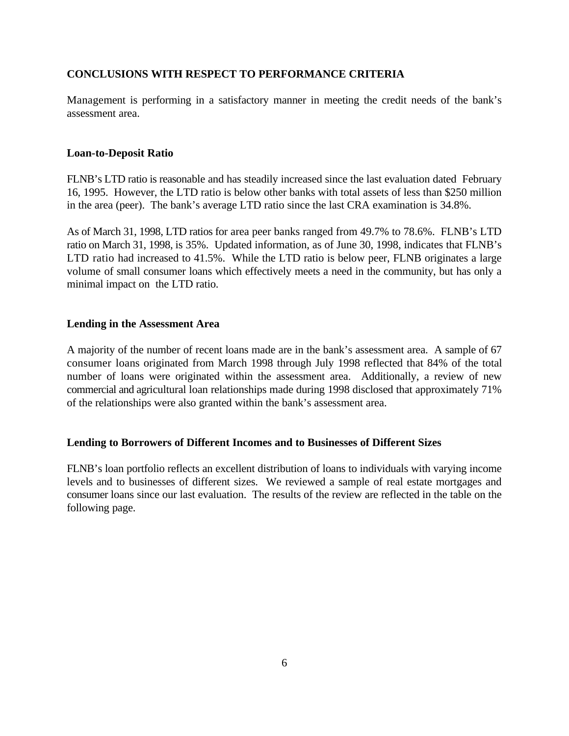# **CONCLUSIONS WITH RESPECT TO PERFORMANCE CRITERIA**

Management is performing in a satisfactory manner in meeting the credit needs of the bank's assessment area.

#### **Loan-to-Deposit Ratio**

FLNB's LTD ratio is reasonable and has steadily increased since the last evaluation dated February 16, 1995. However, the LTD ratio is below other banks with total assets of less than \$250 million in the area (peer). The bank's average LTD ratio since the last CRA examination is 34.8%.

As of March 31, 1998, LTD ratios for area peer banks ranged from 49.7% to 78.6%. FLNB's LTD ratio on March 31, 1998, is 35%. Updated information, as of June 30, 1998, indicates that FLNB's LTD ratio had increased to 41.5%. While the LTD ratio is below peer, FLNB originates a large volume of small consumer loans which effectively meets a need in the community, but has only a minimal impact on the LTD ratio.

#### **Lending in the Assessment Area**

A majority of the number of recent loans made are in the bank's assessment area. A sample of 67 consumer loans originated from March 1998 through July 1998 reflected that 84% of the total number of loans were originated within the assessment area. Additionally, a review of new commercial and agricultural loan relationships made during 1998 disclosed that approximately 71% of the relationships were also granted within the bank's assessment area.

#### **Lending to Borrowers of Different Incomes and to Businesses of Different Sizes**

FLNB's loan portfolio reflects an excellent distribution of loans to individuals with varying income levels and to businesses of different sizes. We reviewed a sample of real estate mortgages and consumer loans since our last evaluation. The results of the review are reflected in the table on the following page.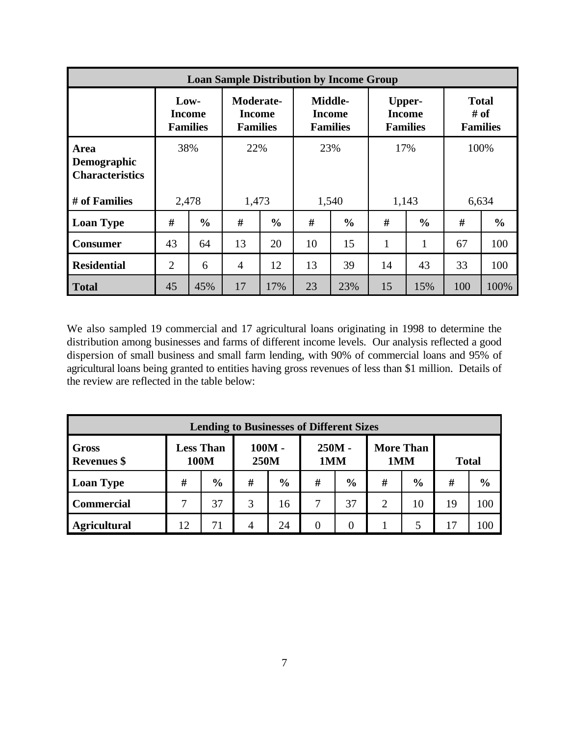| <b>Loan Sample Distribution by Income Group</b>      |                |                                          |                                                      |               |                                                    |               |                                                   |               |                                         |               |  |
|------------------------------------------------------|----------------|------------------------------------------|------------------------------------------------------|---------------|----------------------------------------------------|---------------|---------------------------------------------------|---------------|-----------------------------------------|---------------|--|
|                                                      |                | Low-<br><b>Income</b><br><b>Families</b> | <b>Moderate-</b><br><b>Income</b><br><b>Families</b> |               | <b>Middle-</b><br><b>Income</b><br><b>Families</b> |               | <b>Upper-</b><br><b>Income</b><br><b>Families</b> |               | <b>Total</b><br># of<br><b>Families</b> |               |  |
| <b>Area</b><br>Demographic<br><b>Characteristics</b> |                | 38%                                      |                                                      | 22%           | 23%                                                |               | 17%                                               |               | 100%                                    |               |  |
| # of Families                                        |                | 2,478                                    |                                                      | 1,473         |                                                    | 1,540         |                                                   | 1,143         |                                         | 6,634         |  |
| <b>Loan Type</b>                                     | #              | $\frac{0}{0}$                            | #                                                    | $\frac{0}{0}$ | #                                                  | $\frac{6}{9}$ | #                                                 | $\frac{6}{9}$ | #                                       | $\frac{0}{0}$ |  |
| <b>Consumer</b>                                      | 43             | 64                                       | 13                                                   | 20            | 10                                                 | 15            | $\mathbf{1}$                                      | $\mathbf{1}$  | 67                                      | 100           |  |
| <b>Residential</b>                                   | $\overline{2}$ | 6                                        | $\overline{4}$                                       | 12            | 13                                                 | 39            | 14                                                | 43            | 33                                      | 100           |  |
| <b>Total</b>                                         | 45             | 45%                                      | 17                                                   | 17%           | 23                                                 | 23%           | 15                                                | 15%           | 100                                     | 100%          |  |

We also sampled 19 commercial and 17 agricultural loans originating in 1998 to determine the distribution among businesses and farms of different income levels. Our analysis reflected a good dispersion of small business and small farm lending, with 90% of commercial loans and 95% of agricultural loans being granted to entities having gross revenues of less than \$1 million. Details of the review are reflected in the table below:

| <b>Lending to Businesses of Different Sizes</b> |                          |               |                  |               |               |               |                         |               |              |               |
|-------------------------------------------------|--------------------------|---------------|------------------|---------------|---------------|---------------|-------------------------|---------------|--------------|---------------|
| <b>Gross</b><br><b>Revenues</b> \$              | <b>Less Than</b><br>100M |               | $100M -$<br>250M |               | 250M -<br>1MM |               | <b>More Than</b><br>1MM |               | <b>Total</b> |               |
| <b>Loan Type</b>                                | #                        | $\frac{6}{6}$ | #                | $\frac{6}{6}$ | #             | $\frac{6}{6}$ | #                       | $\frac{6}{9}$ | #            | $\frac{6}{6}$ |
| <b>Commercial</b>                               |                          | 37            | 3                | 16            |               | 37            | $\overline{2}$          | 10            | 19           | 100           |
| <b>Agricultural</b>                             | 12                       | 71            | $\overline{4}$   | 24            |               |               |                         | 5             | 17           | 100           |